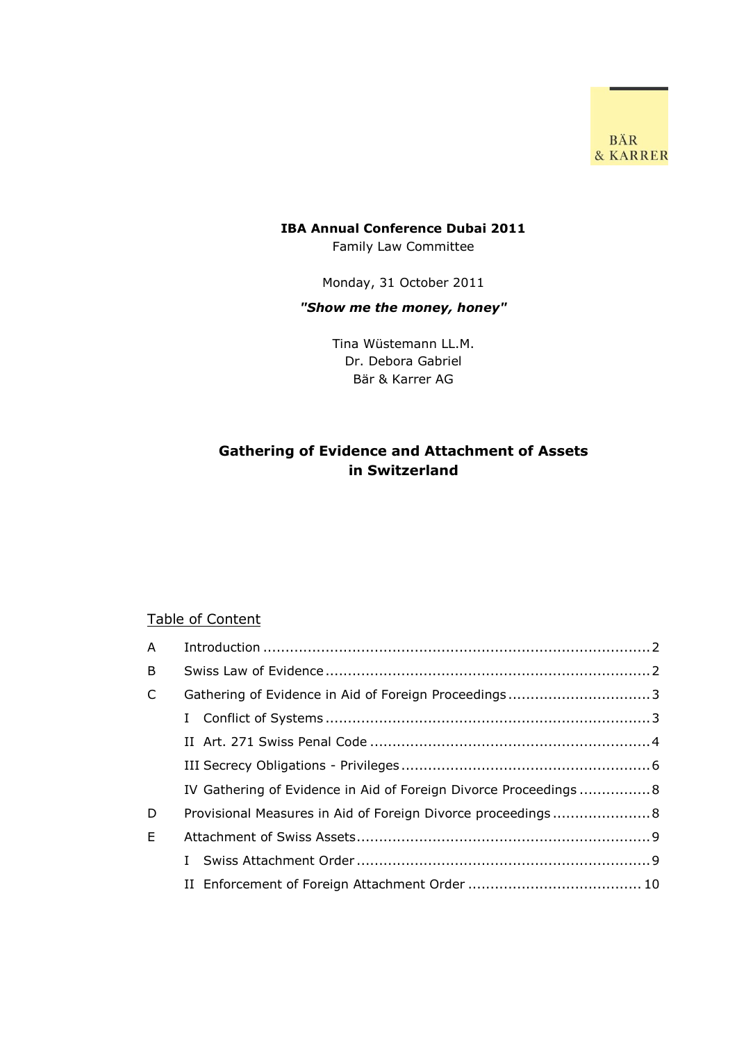BÄR & KARRER

# **IBA Annual Conference Dubai 2011**

Family Law Committee

Monday, 31 October 2011

## *"Show me the money, honey"*

Tina Wüstemann LL.M. Dr. Debora Gabriel Bär & Karrer AG

# **Gathering of Evidence and Attachment of Assets in Switzerland**

#### Table of Content

| $\mathsf{A}$ |                                                                 |  |
|--------------|-----------------------------------------------------------------|--|
| B            |                                                                 |  |
| $\mathsf{C}$ | Gathering of Evidence in Aid of Foreign Proceedings3            |  |
|              | L                                                               |  |
|              |                                                                 |  |
|              |                                                                 |  |
|              | IV Gathering of Evidence in Aid of Foreign Divorce Proceedings8 |  |
| D            | Provisional Measures in Aid of Foreign Divorce proceedings 8    |  |
| E            |                                                                 |  |
|              |                                                                 |  |
|              |                                                                 |  |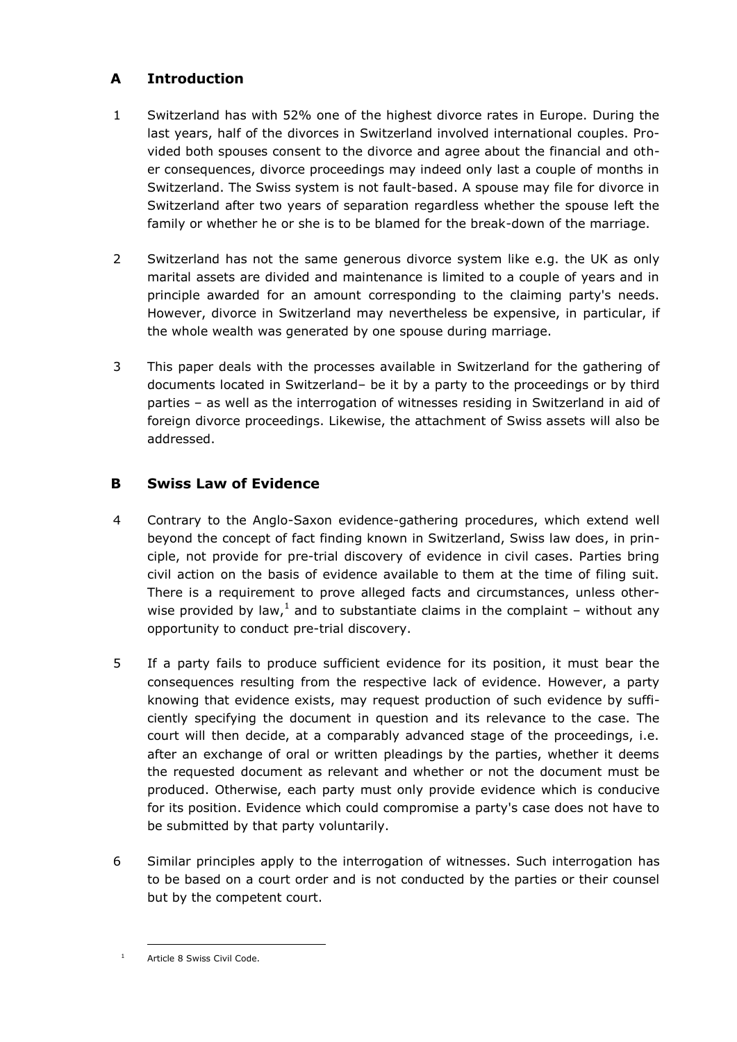## <span id="page-1-0"></span>**A Introduction**

- 1 Switzerland has with 52% one of the highest divorce rates in Europe. During the last years, half of the divorces in Switzerland involved international couples. Provided both spouses consent to the divorce and agree about the financial and other consequences, divorce proceedings may indeed only last a couple of months in Switzerland. The Swiss system is not fault-based. A spouse may file for divorce in Switzerland after two years of separation regardless whether the spouse left the family or whether he or she is to be blamed for the break-down of the marriage.
- 2 Switzerland has not the same generous divorce system like e.g. the UK as only marital assets are divided and maintenance is limited to a couple of years and in principle awarded for an amount corresponding to the claiming party's needs. However, divorce in Switzerland may nevertheless be expensive, in particular, if the whole wealth was generated by one spouse during marriage.
- 3 This paper deals with the processes available in Switzerland for the gathering of documents located in Switzerland– be it by a party to the proceedings or by third parties – as well as the interrogation of witnesses residing in Switzerland in aid of foreign divorce proceedings. Likewise, the attachment of Swiss assets will also be addressed.

## <span id="page-1-1"></span>**B Swiss Law of Evidence**

- 4 Contrary to the Anglo-Saxon evidence-gathering procedures, which extend well beyond the concept of fact finding known in Switzerland, Swiss law does, in principle, not provide for pre-trial discovery of evidence in civil cases. Parties bring civil action on the basis of evidence available to them at the time of filing suit. There is a requirement to prove alleged facts and circumstances, unless otherwise provided by law,<sup>1</sup> and to substantiate claims in the complaint – without any opportunity to conduct pre-trial discovery.
- 5 If a party fails to produce sufficient evidence for its position, it must bear the consequences resulting from the respective lack of evidence. However, a party knowing that evidence exists, may request production of such evidence by sufficiently specifying the document in question and its relevance to the case. The court will then decide, at a comparably advanced stage of the proceedings, i.e. after an exchange of oral or written pleadings by the parties, whether it deems the requested document as relevant and whether or not the document must be produced. Otherwise, each party must only provide evidence which is conducive for its position. Evidence which could compromise a party's case does not have to be submitted by that party voluntarily.
- 6 Similar principles apply to the interrogation of witnesses. Such interrogation has to be based on a court order and is not conducted by the parties or their counsel but by the competent court.

<sup>&</sup>lt;sup>1</sup> Article 8 Swiss Civil Code.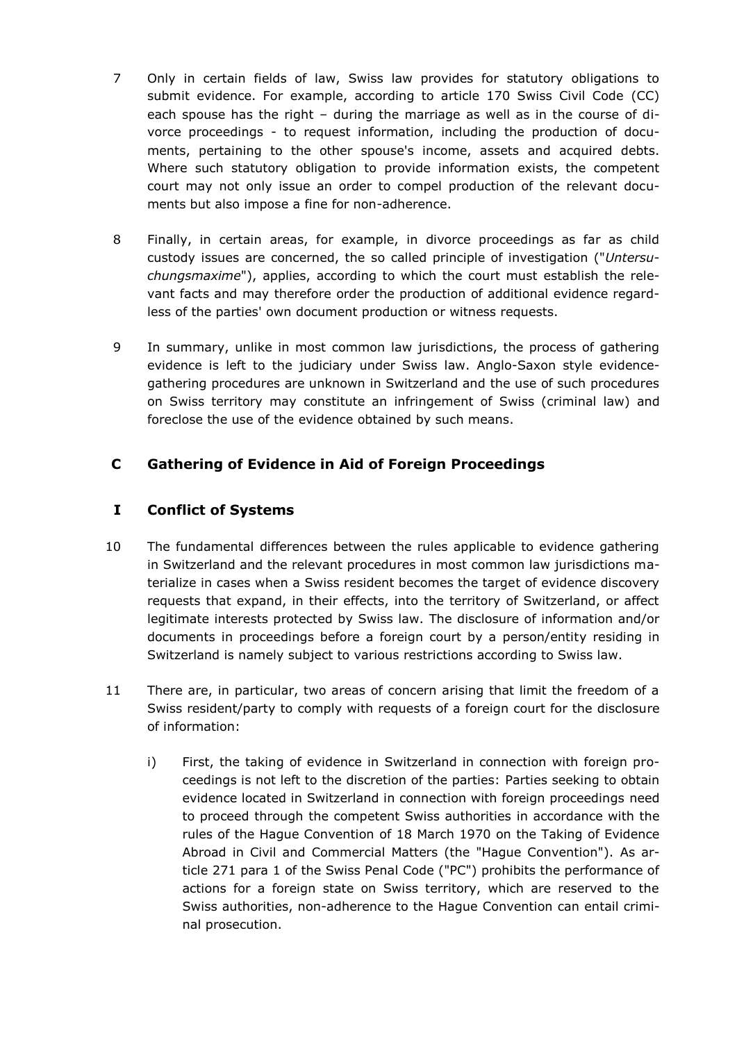- 7 Only in certain fields of law, Swiss law provides for statutory obligations to submit evidence. For example, according to article 170 Swiss Civil Code (CC) each spouse has the right – during the marriage as well as in the course of divorce proceedings - to request information, including the production of documents, pertaining to the other spouse's income, assets and acquired debts. Where such statutory obligation to provide information exists, the competent court may not only issue an order to compel production of the relevant documents but also impose a fine for non-adherence.
- 8 Finally, in certain areas, for example, in divorce proceedings as far as child custody issues are concerned, the so called principle of investigation ("*Untersuchungsmaxime*"), applies, according to which the court must establish the relevant facts and may therefore order the production of additional evidence regardless of the parties' own document production or witness requests.
- 9 In summary, unlike in most common law jurisdictions, the process of gathering evidence is left to the judiciary under Swiss law. Anglo-Saxon style evidencegathering procedures are unknown in Switzerland and the use of such procedures on Swiss territory may constitute an infringement of Swiss (criminal law) and foreclose the use of the evidence obtained by such means.

## <span id="page-2-1"></span><span id="page-2-0"></span>**C Gathering of Evidence in Aid of Foreign Proceedings**

## **I Conflict of Systems**

- 10 The fundamental differences between the rules applicable to evidence gathering in Switzerland and the relevant procedures in most common law jurisdictions materialize in cases when a Swiss resident becomes the target of evidence discovery requests that expand, in their effects, into the territory of Switzerland, or affect legitimate interests protected by Swiss law. The disclosure of information and/or documents in proceedings before a foreign court by a person/entity residing in Switzerland is namely subject to various restrictions according to Swiss law.
- 11 There are, in particular, two areas of concern arising that limit the freedom of a Swiss resident/party to comply with requests of a foreign court for the disclosure of information:
	- i) First, the taking of evidence in Switzerland in connection with foreign proceedings is not left to the discretion of the parties: Parties seeking to obtain evidence located in Switzerland in connection with foreign proceedings need to proceed through the competent Swiss authorities in accordance with the rules of the Hague Convention of 18 March 1970 on the Taking of Evidence Abroad in Civil and Commercial Matters (the "Hague Convention"). As article 271 para 1 of the Swiss Penal Code ("PC") prohibits the performance of actions for a foreign state on Swiss territory, which are reserved to the Swiss authorities, non-adherence to the Hague Convention can entail criminal prosecution.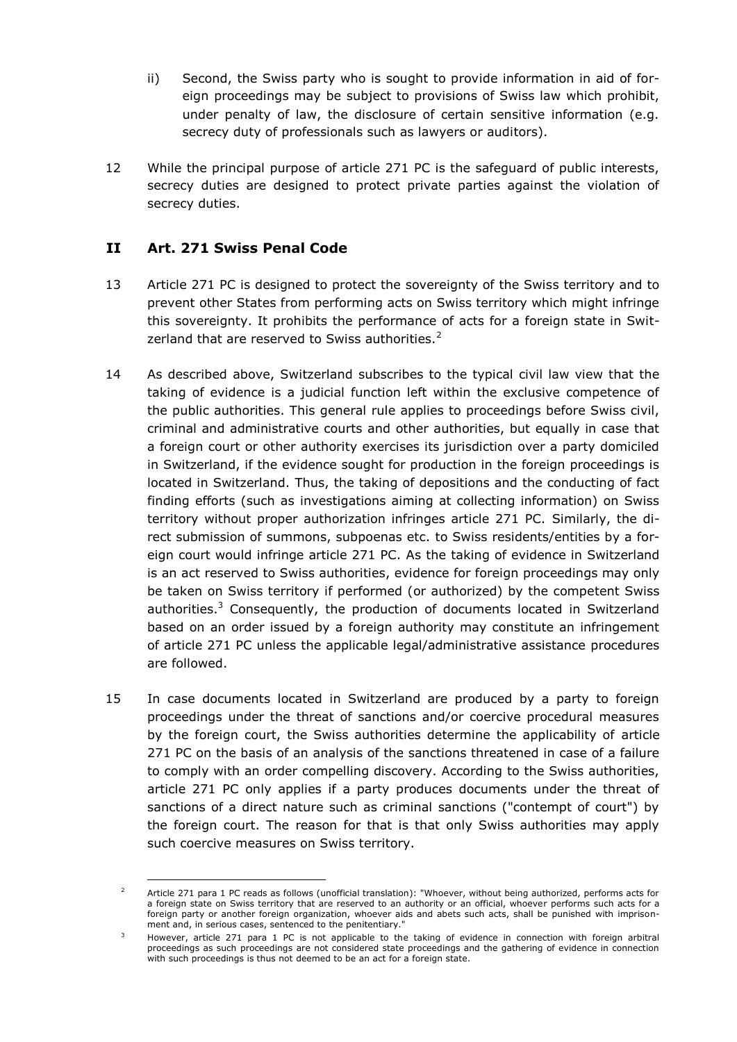- ii) Second, the Swiss party who is sought to provide information in aid of foreign proceedings may be subject to provisions of Swiss law which prohibit, under penalty of law, the disclosure of certain sensitive information (e.g. secrecy duty of professionals such as lawyers or auditors).
- 12 While the principal purpose of article 271 PC is the safeguard of public interests, secrecy duties are designed to protect private parties against the violation of secrecy duties.

## <span id="page-3-0"></span>**II Art. 271 Swiss Penal Code**

- 13 Article 271 PC is designed to protect the sovereignty of the Swiss territory and to prevent other States from performing acts on Swiss territory which might infringe this sovereignty. It prohibits the performance of acts for a foreign state in Switzerland that are reserved to Swiss authorities. $2$
- 14 As described above, Switzerland subscribes to the typical civil law view that the taking of evidence is a judicial function left within the exclusive competence of the public authorities. This general rule applies to proceedings before Swiss civil, criminal and administrative courts and other authorities, but equally in case that a foreign court or other authority exercises its jurisdiction over a party domiciled in Switzerland, if the evidence sought for production in the foreign proceedings is located in Switzerland. Thus, the taking of depositions and the conducting of fact finding efforts (such as investigations aiming at collecting information) on Swiss territory without proper authorization infringes article 271 PC. Similarly, the direct submission of summons, subpoenas etc. to Swiss residents/entities by a foreign court would infringe article 271 PC. As the taking of evidence in Switzerland is an act reserved to Swiss authorities, evidence for foreign proceedings may only be taken on Swiss territory if performed (or authorized) by the competent Swiss authorities.<sup>3</sup> Consequently, the production of documents located in Switzerland based on an order issued by a foreign authority may constitute an infringement of article 271 PC unless the applicable legal/administrative assistance procedures are followed.
- 15 In case documents located in Switzerland are produced by a party to foreign proceedings under the threat of sanctions and/or coercive procedural measures by the foreign court, the Swiss authorities determine the applicability of article 271 PC on the basis of an analysis of the sanctions threatened in case of a failure to comply with an order compelling discovery. According to the Swiss authorities, article 271 PC only applies if a party produces documents under the threat of sanctions of a direct nature such as criminal sanctions ("contempt of court") by the foreign court. The reason for that is that only Swiss authorities may apply such coercive measures on Swiss territory.

<sup>&</sup>lt;sup>2</sup> Article 271 para 1 PC reads as follows (unofficial translation): "Whoever, without being authorized, performs acts for a foreign state on Swiss territory that are reserved to an authority or an official, whoever performs such acts for a foreign party or another foreign organization, whoever aids and abets such acts, shall be punished with imprisonment and, in serious cases, sentenced to the penitentiary."

However, article 271 para 1 PC is not applicable to the taking of evidence in connection with foreign arbitral proceedings as such proceedings are not considered state proceedings and the gathering of evidence in connection with such proceedings is thus not deemed to be an act for a foreign state.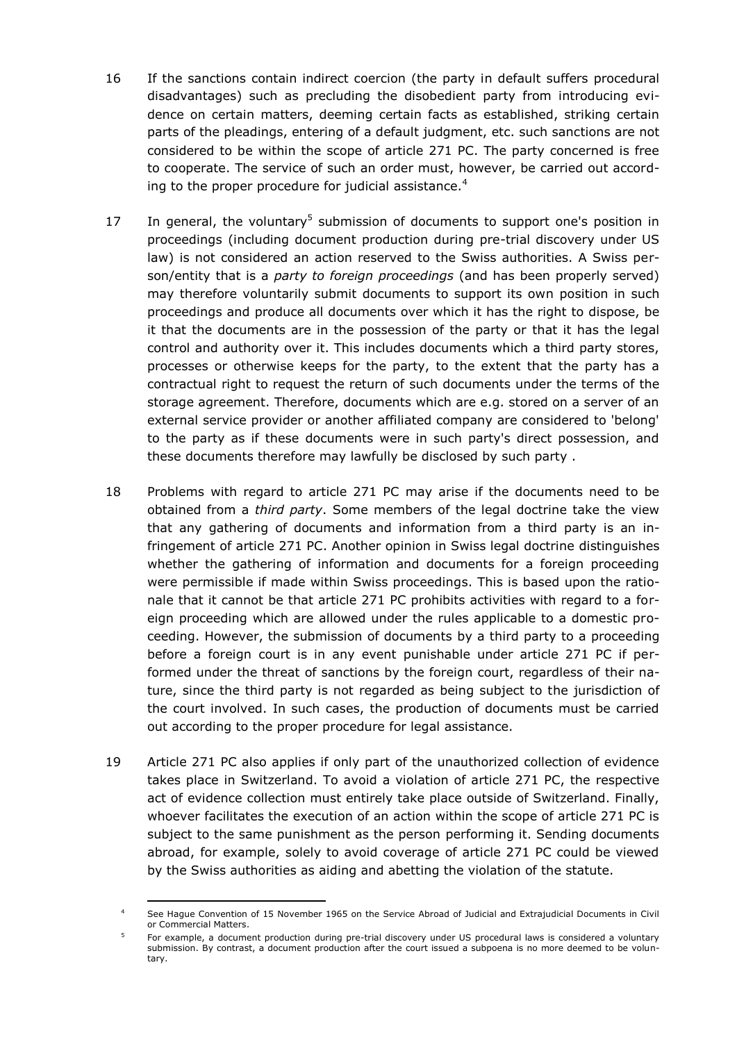- 16 If the sanctions contain indirect coercion (the party in default suffers procedural disadvantages) such as precluding the disobedient party from introducing evidence on certain matters, deeming certain facts as established, striking certain parts of the pleadings, entering of a default judgment, etc. such sanctions are not considered to be within the scope of article 271 PC. The party concerned is free to cooperate. The service of such an order must, however, be carried out according to the proper procedure for judicial assistance.<sup>4</sup>
- 17 In general, the voluntary<sup>5</sup> submission of documents to support one's position in proceedings (including document production during pre-trial discovery under US law) is not considered an action reserved to the Swiss authorities. A Swiss person/entity that is a *party to foreign proceedings* (and has been properly served) may therefore voluntarily submit documents to support its own position in such proceedings and produce all documents over which it has the right to dispose, be it that the documents are in the possession of the party or that it has the legal control and authority over it. This includes documents which a third party stores, processes or otherwise keeps for the party, to the extent that the party has a contractual right to request the return of such documents under the terms of the storage agreement. Therefore, documents which are e.g. stored on a server of an external service provider or another affiliated company are considered to 'belong' to the party as if these documents were in such party's direct possession, and these documents therefore may lawfully be disclosed by such party .
- 18 Problems with regard to article 271 PC may arise if the documents need to be obtained from a *third party*. Some members of the legal doctrine take the view that any gathering of documents and information from a third party is an infringement of article 271 PC. Another opinion in Swiss legal doctrine distinguishes whether the gathering of information and documents for a foreign proceeding were permissible if made within Swiss proceedings. This is based upon the rationale that it cannot be that article 271 PC prohibits activities with regard to a foreign proceeding which are allowed under the rules applicable to a domestic proceeding. However, the submission of documents by a third party to a proceeding before a foreign court is in any event punishable under article 271 PC if performed under the threat of sanctions by the foreign court, regardless of their nature, since the third party is not regarded as being subject to the jurisdiction of the court involved. In such cases, the production of documents must be carried out according to the proper procedure for legal assistance.
- 19 Article 271 PC also applies if only part of the unauthorized collection of evidence takes place in Switzerland. To avoid a violation of article 271 PC, the respective act of evidence collection must entirely take place outside of Switzerland. Finally, whoever facilitates the execution of an action within the scope of article 271 PC is subject to the same punishment as the person performing it. Sending documents abroad, for example, solely to avoid coverage of article 271 PC could be viewed by the Swiss authorities as aiding and abetting the violation of the statute.

<sup>4</sup> See Hague Convention of 15 November 1965 on the Service Abroad of Judicial and Extrajudicial Documents in Civil or Commercial Matters.

<sup>5</sup> For example, a document production during pre-trial discovery under US procedural laws is considered a voluntary submission. By contrast, a document production after the court issued a subpoena is no more deemed to be voluntary.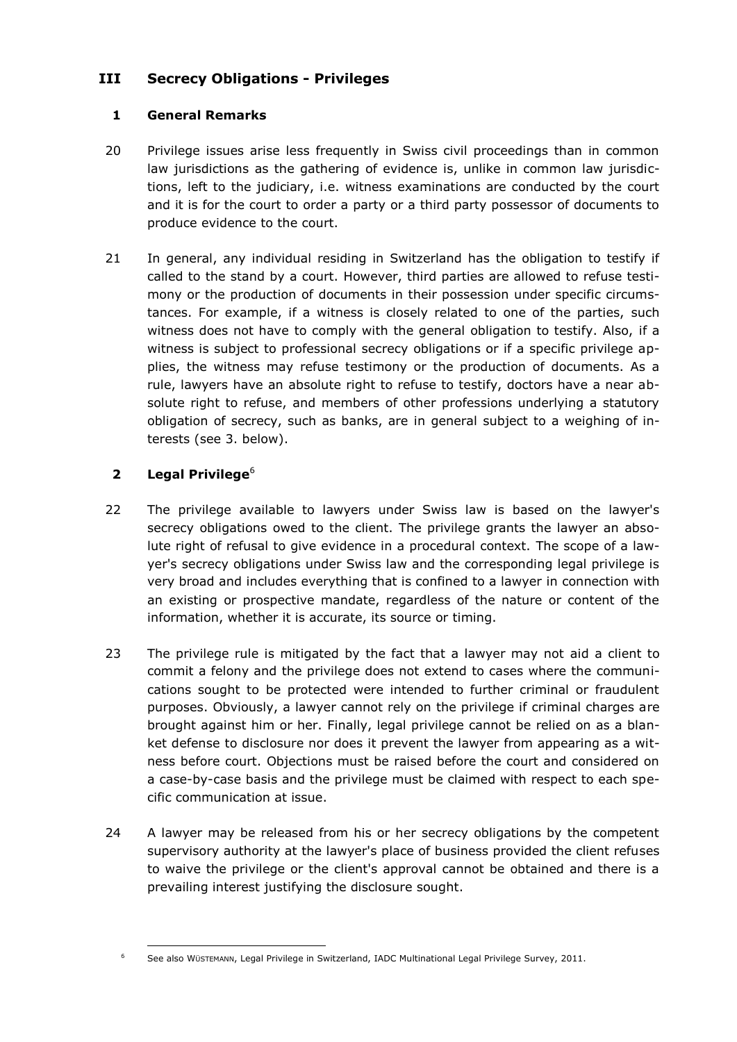## <span id="page-5-0"></span>**III Secrecy Obligations - Privileges**

#### **1 General Remarks**

- 20 Privilege issues arise less frequently in Swiss civil proceedings than in common law jurisdictions as the gathering of evidence is, unlike in common law jurisdictions, left to the judiciary, i.e. witness examinations are conducted by the court and it is for the court to order a party or a third party possessor of documents to produce evidence to the court.
- 21 In general, any individual residing in Switzerland has the obligation to testify if called to the stand by a court. However, third parties are allowed to refuse testimony or the production of documents in their possession under specific circumstances. For example, if a witness is closely related to one of the parties, such witness does not have to comply with the general obligation to testify. Also, if a witness is subject to professional secrecy obligations or if a specific privilege applies, the witness may refuse testimony or the production of documents. As a rule, lawyers have an absolute right to refuse to testify, doctors have a near absolute right to refuse, and members of other professions underlying a statutory obligation of secrecy, such as banks, are in general subject to a weighing of interests (see 3. below).

### **2 Legal Privilege**<sup>6</sup>

- 22 The privilege available to lawyers under Swiss law is based on the lawyer's secrecy obligations owed to the client. The privilege grants the lawyer an absolute right of refusal to give evidence in a procedural context. The scope of a lawyer's secrecy obligations under Swiss law and the corresponding legal privilege is very broad and includes everything that is confined to a lawyer in connection with an existing or prospective mandate, regardless of the nature or content of the information, whether it is accurate, its source or timing.
- 23 The privilege rule is mitigated by the fact that a lawyer may not aid a client to commit a felony and the privilege does not extend to cases where the communications sought to be protected were intended to further criminal or fraudulent purposes. Obviously, a lawyer cannot rely on the privilege if criminal charges are brought against him or her. Finally, legal privilege cannot be relied on as a blanket defense to disclosure nor does it prevent the lawyer from appearing as a witness before court. Objections must be raised before the court and considered on a case-by-case basis and the privilege must be claimed with respect to each specific communication at issue.
- 24 A lawyer may be released from his or her secrecy obligations by the competent supervisory authority at the lawyer's place of business provided the client refuses to waive the privilege or the client's approval cannot be obtained and there is a prevailing interest justifying the disclosure sought.

 <sup>6</sup> See also WÜSTEMANN, Legal Privilege in Switzerland, IADC Multinational Legal Privilege Survey, 2011.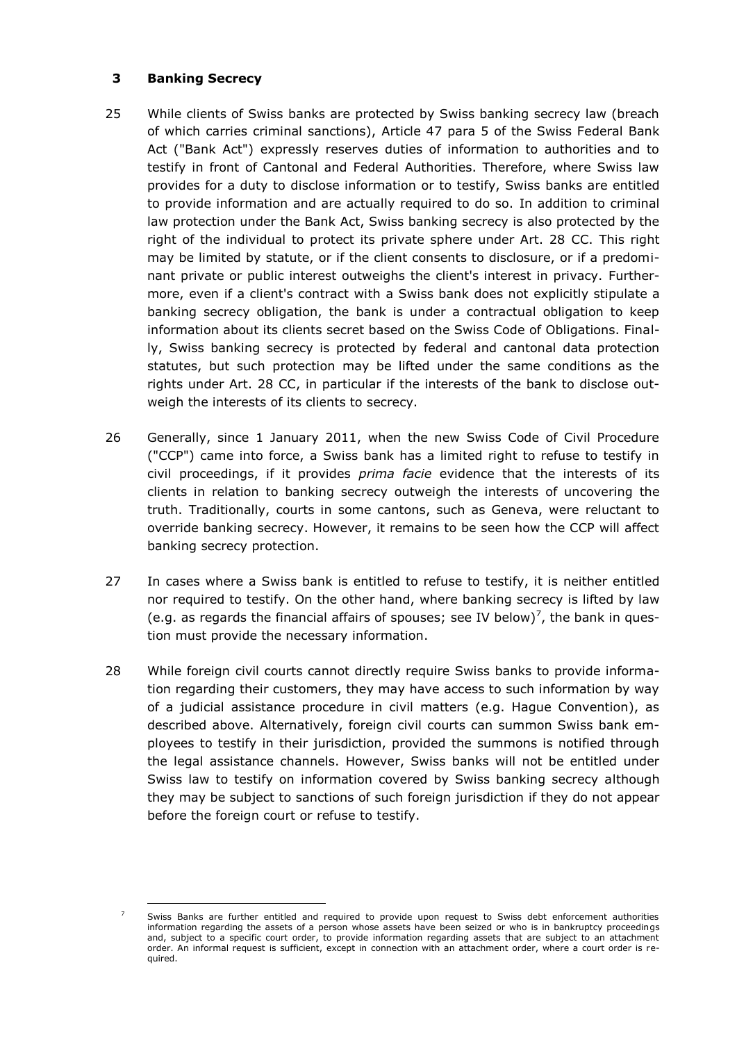#### **3 Banking Secrecy**

-

- 25 While clients of Swiss banks are protected by Swiss banking secrecy law (breach of which carries criminal sanctions), Article 47 para 5 of the Swiss Federal Bank Act ("Bank Act") expressly reserves duties of information to authorities and to testify in front of Cantonal and Federal Authorities. Therefore, where Swiss law provides for a duty to disclose information or to testify, Swiss banks are entitled to provide information and are actually required to do so. In addition to criminal law protection under the Bank Act, Swiss banking secrecy is also protected by the right of the individual to protect its private sphere under Art. 28 CC. This right may be limited by statute, or if the client consents to disclosure, or if a predominant private or public interest outweighs the client's interest in privacy. Furthermore, even if a client's contract with a Swiss bank does not explicitly stipulate a banking secrecy obligation, the bank is under a contractual obligation to keep information about its clients secret based on the Swiss Code of Obligations. Finally, Swiss banking secrecy is protected by federal and cantonal data protection statutes, but such protection may be lifted under the same conditions as the rights under Art. 28 CC, in particular if the interests of the bank to disclose outweigh the interests of its clients to secrecy.
- 26 Generally, since 1 January 2011, when the new Swiss Code of Civil Procedure ("CCP") came into force, a Swiss bank has a limited right to refuse to testify in civil proceedings, if it provides *prima facie* evidence that the interests of its clients in relation to banking secrecy outweigh the interests of uncovering the truth. Traditionally, courts in some cantons, such as Geneva, were reluctant to override banking secrecy. However, it remains to be seen how the CCP will affect banking secrecy protection.
- 27 In cases where a Swiss bank is entitled to refuse to testify, it is neither entitled nor required to testify. On the other hand, where banking secrecy is lifted by law (e.g. as regards the financial affairs of spouses; see IV below)<sup>7</sup>, the bank in question must provide the necessary information.
- 28 While foreign civil courts cannot directly require Swiss banks to provide information regarding their customers, they may have access to such information by way of a judicial assistance procedure in civil matters (e.g. Hague Convention), as described above. Alternatively, foreign civil courts can summon Swiss bank employees to testify in their jurisdiction, provided the summons is notified through the legal assistance channels. However, Swiss banks will not be entitled under Swiss law to testify on information covered by Swiss banking secrecy although they may be subject to sanctions of such foreign jurisdiction if they do not appear before the foreign court or refuse to testify.

Swiss Banks are further entitled and required to provide upon request to Swiss debt enforcement authorities information regarding the assets of a person whose assets have been seized or who is in bankruptcy proceedings and, subject to a specific court order, to provide information regarding assets that are subject to an attachment order. An informal request is sufficient, except in connection with an attachment order, where a court order is required.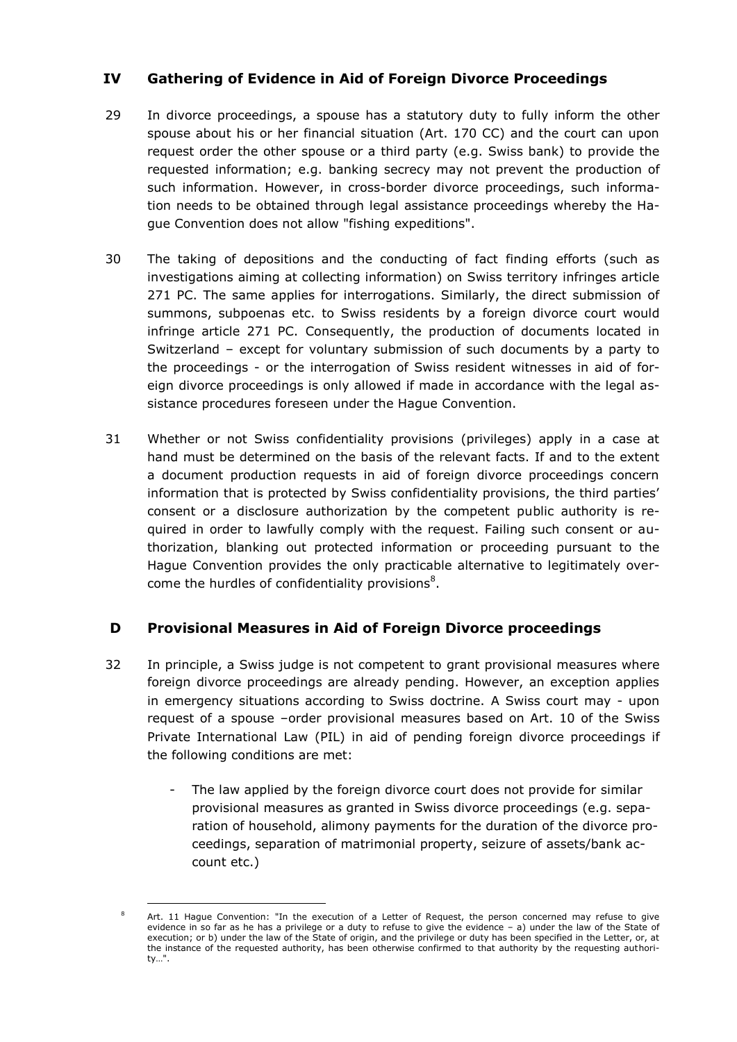## <span id="page-7-0"></span>**IV Gathering of Evidence in Aid of Foreign Divorce Proceedings**

- 29 In divorce proceedings, a spouse has a statutory duty to fully inform the other spouse about his or her financial situation (Art. 170 CC) and the court can upon request order the other spouse or a third party (e.g. Swiss bank) to provide the requested information; e.g. banking secrecy may not prevent the production of such information. However, in cross-border divorce proceedings, such information needs to be obtained through legal assistance proceedings whereby the Hague Convention does not allow "fishing expeditions".
- 30 The taking of depositions and the conducting of fact finding efforts (such as investigations aiming at collecting information) on Swiss territory infringes article 271 PC. The same applies for interrogations. Similarly, the direct submission of summons, subpoenas etc. to Swiss residents by a foreign divorce court would infringe article 271 PC. Consequently, the production of documents located in Switzerland – except for voluntary submission of such documents by a party to the proceedings - or the interrogation of Swiss resident witnesses in aid of foreign divorce proceedings is only allowed if made in accordance with the legal assistance procedures foreseen under the Hague Convention.
- 31 Whether or not Swiss confidentiality provisions (privileges) apply in a case at hand must be determined on the basis of the relevant facts. If and to the extent a document production requests in aid of foreign divorce proceedings concern information that is protected by Swiss confidentiality provisions, the third parties' consent or a disclosure authorization by the competent public authority is required in order to lawfully comply with the request. Failing such consent or authorization, blanking out protected information or proceeding pursuant to the Hague Convention provides the only practicable alternative to legitimately overcome the hurdles of confidentiality provisions $8$ .

### <span id="page-7-1"></span>**D Provisional Measures in Aid of Foreign Divorce proceedings**

- 32 In principle, a Swiss judge is not competent to grant provisional measures where foreign divorce proceedings are already pending. However, an exception applies in emergency situations according to Swiss doctrine. A Swiss court may - upon request of a spouse –order provisional measures based on Art. 10 of the Swiss Private International Law (PIL) in aid of pending foreign divorce proceedings if the following conditions are met:
	- The law applied by the foreign divorce court does not provide for similar provisional measures as granted in Swiss divorce proceedings (e.g. separation of household, alimony payments for the duration of the divorce proceedings, separation of matrimonial property, seizure of assets/bank account etc.)

-

Art. 11 Hague Convention: "In the execution of a Letter of Request, the person concerned may refuse to give evidence in so far as he has a privilege or a duty to refuse to give the evidence – a) under the law of the State of execution; or b) under the law of the State of origin, and the privilege or duty has been specified in the Letter, or, at the instance of the requested authority, has been otherwise confirmed to that authority by the requesting authority…".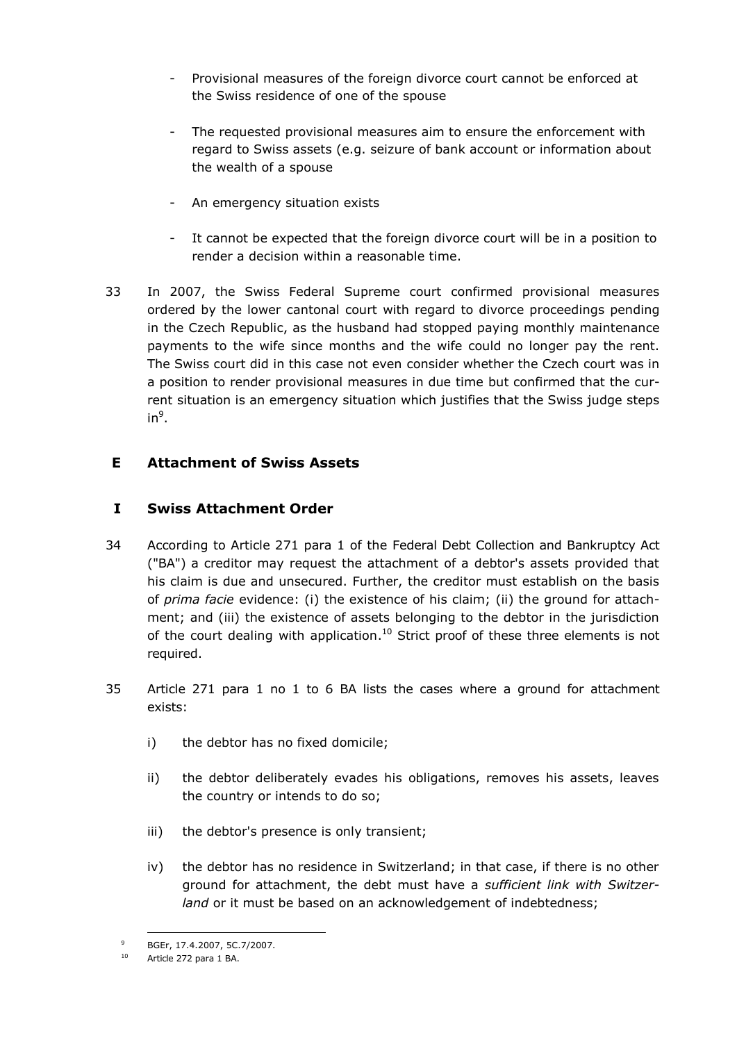- Provisional measures of the foreign divorce court cannot be enforced at the Swiss residence of one of the spouse
- The requested provisional measures aim to ensure the enforcement with regard to Swiss assets (e.g. seizure of bank account or information about the wealth of a spouse
- An emergency situation exists
- It cannot be expected that the foreign divorce court will be in a position to render a decision within a reasonable time.
- 33 In 2007, the Swiss Federal Supreme court confirmed provisional measures ordered by the lower cantonal court with regard to divorce proceedings pending in the Czech Republic, as the husband had stopped paying monthly maintenance payments to the wife since months and the wife could no longer pay the rent. The Swiss court did in this case not even consider whether the Czech court was in a position to render provisional measures in due time but confirmed that the current situation is an emergency situation which justifies that the Swiss judge steps  $in^9$ .

### <span id="page-8-1"></span><span id="page-8-0"></span>**E Attachment of Swiss Assets**

### **I Swiss Attachment Order**

- 34 According to Article 271 para 1 of the Federal Debt Collection and Bankruptcy Act ("BA") a creditor may request the attachment of a debtor's assets provided that his claim is due and unsecured. Further, the creditor must establish on the basis of *prima facie* evidence: (i) the existence of his claim; (ii) the ground for attachment; and (iii) the existence of assets belonging to the debtor in the jurisdiction of the court dealing with application.<sup>10</sup> Strict proof of these three elements is not required.
- 35 Article 271 para 1 no 1 to 6 BA lists the cases where a ground for attachment exists:
	- i) the debtor has no fixed domicile;
	- ii) the debtor deliberately evades his obligations, removes his assets, leaves the country or intends to do so;
	- iii) the debtor's presence is only transient;
	- iv) the debtor has no residence in Switzerland; in that case, if there is no other ground for attachment, the debt must have a *sufficient link with Switzerland* or it must be based on an acknowledgement of indebtedness;

<sup>9</sup> BGEr, 17.4.2007, 5C.7/2007.

<sup>10</sup> Article 272 para 1 BA.